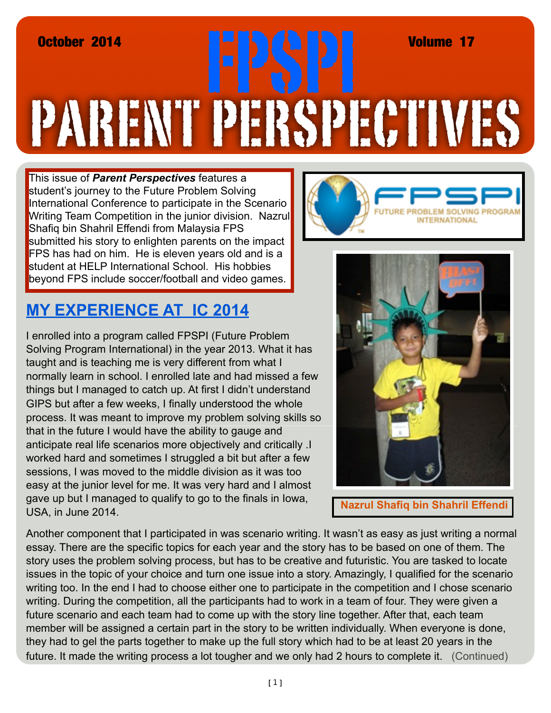## PARENT PERSPECTIVES October 2014 FPSPI Volume 17

This issue of *Parent Perspectives* features a student's journey to the Future Problem Solving International Conference to participate in the Scenario Writing Team Competition in the junior division. Nazrul Shafiq bin Shahril Effendi from Malaysia FPS submitted his story to enlighten parents on the impact FPS has had on him. He is eleven years old and is a student at HELP International School. His hobbies beyond FPS include soccer/football and video games.

## **MY EXPERIENCE AT IC 2014**

I enrolled into a program called FPSPI (Future Problem Solving Program International) in the year 2013. What it has taught and is teaching me is very different from what I normally learn in school. I enrolled late and had missed a few things but I managed to catch up. At first I didn't understand GIPS but after a few weeks, I finally understood the whole process. It was meant to improve my problem solving skills so that in the future I would have the ability to gauge and anticipate real life scenarios more objectively and critically .I worked hard and sometimes I struggled a bit but after a few sessions, I was moved to the middle division as it was too easy at the junior level for me. It was very hard and I almost gave up but I managed to qualify to go to the finals in Iowa, USA, in June 2014.





 **Nazrul Shafiq bin Shahril Effendi**

Another component that I participated in was scenario writing. It wasn't as easy as just writing a normal essay. There are the specific topics for each year and the story has to be based on one of them. The story uses the problem solving process, but has to be creative and futuristic. You are tasked to locate issues in the topic of your choice and turn one issue into a story. Amazingly, I qualified for the scenario writing too. In the end I had to choose either one to participate in the competition and I chose scenario writing. During the competition, all the participants had to work in a team of four. They were given a future scenario and each team had to come up with the story line together. After that, each team member will be assigned a certain part in the story to be written individually. When everyone is done, they had to gel the parts together to make up the full story which had to be at least 20 years in the future. It made the writing process a lot tougher and we only had 2 hours to complete it. (Continued)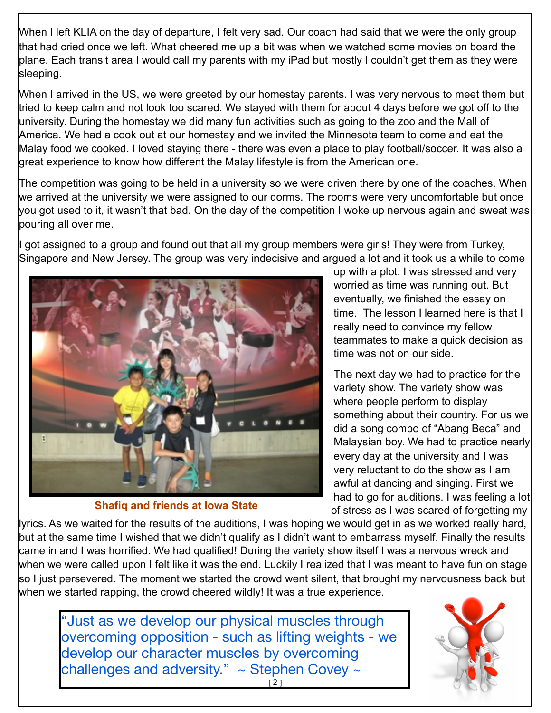When I left KLIA on the day of departure, I felt very sad. Our coach had said that we were the only group that had cried once we left. What cheered me up a bit was when we watched some movies on board the plane. Each transit area I would call my parents with my iPad but mostly I couldn't get them as they were sleeping.

When I arrived in the US, we were greeted by our homestay parents. I was very nervous to meet them but tried to keep calm and not look too scared. We stayed with them for about 4 days before we got off to the university. During the homestay we did many fun activities such as going to the zoo and the Mall of America. We had a cook out at our homestay and we invited the Minnesota team to come and eat the Malay food we cooked. I loved staying there - there was even a place to play football/soccer. It was also a great experience to know how different the Malay lifestyle is from the American one.

The competition was going to be held in a university so we were driven there by one of the coaches. When we arrived at the university we were assigned to our dorms. The rooms were very uncomfortable but once you got used to it, it wasn't that bad. On the day of the competition I woke up nervous again and sweat was pouring all over me.

I got assigned to a group and found out that all my group members were girls! They were from Turkey, Singapore and New Jersey. The group was very indecisive and argued a lot and it took us a while to come



**Shafiq and friends at Iowa State**

up with a plot. I was stressed and very worried as time was running out. But eventually, we finished the essay on time. The lesson I learned here is that I really need to convince my fellow teammates to make a quick decision as time was not on our side.

The next day we had to practice for the variety show. The variety show was where people perform to display something about their country. For us we did a song combo of "Abang Beca" and Malaysian boy. We had to practice nearly every day at the university and I was very reluctant to do the show as I am awful at dancing and singing. First we had to go for auditions. I was feeling a lot of stress as I was scared of forgetting my

lyrics. As we waited for the results of the auditions, I was hoping we would get in as we worked really hard, but at the same time I wished that we didn't qualify as I didn't want to embarrass myself. Finally the results came in and I was horrified. We had qualified! During the variety show itself I was a nervous wreck and when we were called upon I felt like it was the end. Luckily I realized that I was meant to have fun on stage so I just persevered. The moment we started the crowd went silent, that brought my nervousness back but when we started rapping, the crowd cheered wildly! It was a true experience.

[2] "Just as we develop our physical muscles through overcoming opposition - such as lifting weights - we develop our character muscles by overcoming challenges and adversity."  $\sim$  Stephen Covey  $\sim$